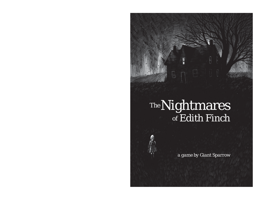### Nightmares Edith Finch *The of*

F

*<sup>a</sup> game by Giant Sparrow*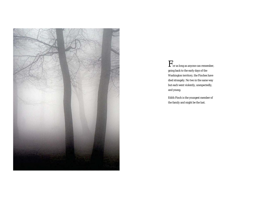

For as long as anyone can remember, going back to the early days of the Washington territory, the Finches have died strangely. No two in the same way but each went violently, unexpectedly, and young.

Edith Finch is the youngest member of the family and might be the last.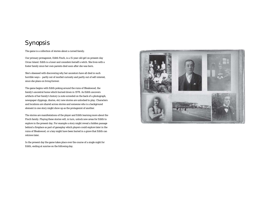## Synopsis

The game is <sup>a</sup> collection of stories about <sup>a</sup> cursed family.

Our primary protagonist, Edith Finch, is <sup>a</sup> 15-year-old girl on present-day Orcas Island. Edith is a loner and considers herself a witch. She lives with a foster family since her own parents died soon after she was born.

She's obsessed with discovering why her ancestors have all died in such horrible ways – partly out of morbid curiosity and partly out of self-interest, since she plans on living forever.

The game begins with Edith poking around the ruins of Bleakwood, the family's ancestral home which burned down in 1978. As Edith uncovers artifacts of her family's history (a note scrawled on the back of <sup>a</sup> photograph, newspaper clippings, diaries, etc) new stories are unlocked to play. Characters and locations are shared across stories and someone who is <sup>a</sup> background element in one story might show up as the protagonist of another.

The stories are manifestations of the player and Edith learning more about the Finch family. Playing these stories will, in turn, unlock new areas for Edith to explore in the present day. For example <sup>a</sup> story might reveal <sup>a</sup> hidden passage behind <sup>a</sup> fireplace as part of gameplay which players could explore later in the ruins of Bleakwood, or <sup>a</sup> key might have been buried in <sup>a</sup> grave that Edith can retrieve later.

In the present day the game takes place over the course of <sup>a</sup> single night for Edith, ending at sunrise on the following day.

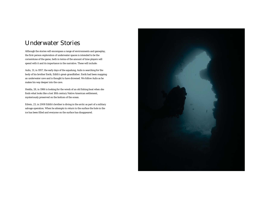## Underwater Stories

Although the stories will encompass <sup>a</sup> range of environments and gameplay, the first-person exploration of underwater spaces is intended to be the cornerstone of the game, both in terms of the amount of time players will spend with it and its importance in the narrative. These will include:

Aulis, 31, in 1957, the early days of the aqualung, Aulis is searching for the body of his brother Eerik, Edith's great-grandfather. Eerik had been mapping an underwater cave and is thought to have drowned. We follow Aulis as he makes his way deeper into the cave.

Hedda, 28, in 1986 is looking for the wreck of an old fishing boat when she finds what looks like <sup>a</sup> lost 18th century Native American settlement, mysteriously preserved on the bottom of the ocean.

Edwin, 23, in 2008 Edith's brother is diving in the arctic as part of <sup>a</sup> military salvage operation. When he attempts to return to the surface the hole in the ice has been filled and everyone on the surface has disappeared.

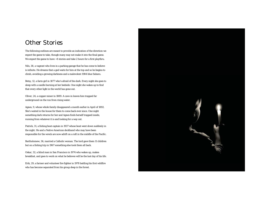### Other Stories

The following outlines are meant to provide an indication of the direction we expect the game to take, though many may not make it into the final game. We expect the game to have ~8 stories and take 2 hours for a first playthru.

Nils, 38, <sup>a</sup> vagrant who lives in <sup>a</sup> parking garage that he has come to believe is infinite. He dreams that <sup>a</sup> god waits for him at the top and so he begins to climb, avoiding <sup>a</sup> growing darkness and <sup>a</sup> malevolent 1984 blue Subaru.

Betsy, 12, <sup>a</sup> farm girl in 1877 who's afraid of the dark. Every night she goes to sleep with <sup>a</sup> candle burning at her bedside. One night she wakes up to find that every other light in the world has gone out.

Oliver, 24, <sup>a</sup> copper miner in 1889. A cave-in leaves him trapped far underground on the run from rising water.

Agnes, 9, whose whole family disappeared <sup>a</sup> month earlier in April of 1892. She's waited in the house for them to come back ever since. One night something dark returns for her and Agnes finds herself trapped inside, running from whatever it is and looking for <sup>a</sup> way out.

Patrick, 31, <sup>a</sup> fishing boat captain in 1937 whose boat went down suddenly in the night. He and <sup>a</sup> Native American deckhand who may have been responsible for the wreck are now adrift on <sup>a</sup> raft in the middle of the Pacific.

Bartholomew, 36, married <sup>a</sup> Catholic woman. The lord gave them 11 children but on <sup>a</sup> fishing trip in 1967 something else took them all back.

Oskar, 32, <sup>a</sup> blind man in San Francisco in 1974 who wakes up, makes breakfast, and goes to work on what he believes will be the last day of his life.

Erik, 29, <sup>a</sup> farmer and volunteer fire fighter in 1978 battling his first wildfire who has become separated from his group deep in the forest.

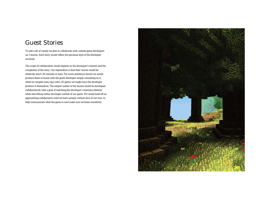### Guest Stories

To add <sup>a</sup> bit of variety we plan to collaborate with outside game developers on 3 stories. Each story would reflect the personal style of the developer involved.

The scope of collaboration would depend on the developer's interest and the complexity of the story. Our expectation is that their stories would be relatively short (10 minutes or less). For more ambitious stories we would produce them in house with the guest developer simply consulting on it, while for simpler ones (eg <sup>a</sup> retro 2D game) we might have the developer produce it themselves. The subject matter of the stories would be developed collaboratively with <sup>a</sup> goal of matching the developer's interests/abilities while also fitting within the larger context of our game. We would hold off on approaching collaborators until we had <sup>a</sup> proper vertical slice of our own, to help communicate what the game is (and make sure we knew ourselves).

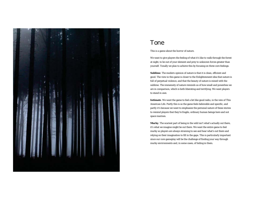

### Tone

This is <sup>a</sup> game about the horror of nature.

We want to give players the feeling of what it's like to walk through the forest at night, to be out of your element and prey to unknown forces greater than yourself. Tonally we plan to achieve this by focusing on three core feelings:

**Sublime**. The modern opinion of nature is that it is clean, efficient and good. The view in this game is closer to the Enlightenment idea that nature is full of perpetual violence, and that the beauty of nature is mixed with the sublime. The immensity of nature reminds us of how small and powerless we are in comparison, which is both liberating and terrifying. We want players to stand in awe.

**Intimate**. We want the game to feel <sup>a</sup> bit like good radio, in the vein of This American Life. Partly this is so the game feels believable and specific, and partly it's because we want to emphasize the personal nature of these stories to remind players that they're fragile, ordinary human beings here and not space marines.

**Murky**. The scariest part of being in the wild isn't what's actually out there, it's what we imagine might be out there. We want the entire game to feel murky so players are always straining to see and hear what's out there and relying on their imagination to fill in the gaps. This is particularly important since our core gameplay will be the challenge of finding your way through murky environments and, in some cases, of hiding in them.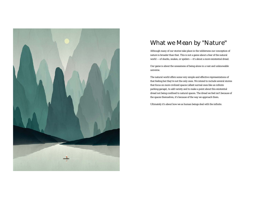

# What we Mean by "Nature"

Although many of our stories take place in the wilderness our conception of nature is broader than that. This is not <sup>a</sup> game about <sup>a</sup> fear of the natural world — of sharks, snakes, or spiders — it's about <sup>a</sup> more existential dread.

Our game is about the uneasiness of being alone in <sup>a</sup> vast and unknowable universe.

The natural world offers some very simple and effective representations of that feeling but they're not the only ones. We intend to include several stories that focus on more civilized spaces (albeit surreal ones like an infinite parking garage), to add variety and to make <sup>a</sup> point about this existential dread not being confined to natural spaces. The dread we feel isn't because of the spaces themselves, it's because of the way we approach them.

Ultimately it's about how we as human beings deal with the infinite.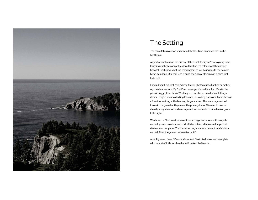

# The Setting

The game takes place on and around the San Juan Islands of the Pacific Northwest.

As part of our focus on the history of the Finch family we're also going to be touching on the history of the place they live. To balance out the entirely fictional Finches we want the environment to feel believable to the point of being mundane. Our goal is to ground the surreal elements in <sup>a</sup> place that feels real.

I should point out that "real" doesn't mean photorealistic lighting or motioncaptured animations. By "real" we mean specific and familiar. This isn't <sup>a</sup> generic foggy place, this is Washington. Our stories aren't about killing <sup>a</sup> demon, they're about collecting firewood, or leading <sup>a</sup> spooked horse through <sup>a</sup> forest, or waiting at the bus stop for your sister. There are supernatural forces in the game but they're not the primary focus. We want to take an already scary situation and use supernatural elements to raise tension just <sup>a</sup> little higher.

We chose the Northwest because it has strong associations with unspoiled natural spaces, isolation, and oddball characters, which are all important elements for our game. The coastal setting and near-constant rain is also <sup>a</sup> natural fit for the game's underwater motif.

Also, I grew up there. It's an environment I feel like I know well enough to add the sort of little touches that will make it believable.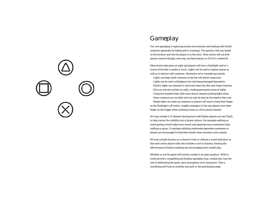

## Gameplay

Our core gameplay is exploring murky environments and dealing with hostile creatures (generally by hiding and/or running). The specifics will vary based on the location and who the player is in the story. Most stories will use firstperson controls though <sup>a</sup> few may use third-person or 2D if it's <sup>a</sup> better fit.

Most stories take place at night and players will have <sup>a</sup> flashlight and/or <sup>a</sup> source of fire like <sup>a</sup> candle or torch. Lights can be used to explore spaces as well as to interact with creatures. Mechanics we're considering include:

- Lights can keep small creatures at bay but will attract large ones
- Lights can be used as bludgeons but risk being damaged themselves
- Electric lights are resistant to wind and water but dim near large creatures
- Fire can activate torches on walls, creating permanent areas of safety
- Using two-handed items (like some doors) requires putting lights down
- Some creatures are invisible and can only be seen by the shadow they cast

- Bright lights can wake up creatures so players will want to keep their finger on the flashlight's off switch, roughly analogous to the way players have their finger on the trigger when scanning rooms in <sup>a</sup> first-person shooter.

We may include a UI element showing how well hidden players are (ala Thief), to help convey the visibility cost of player actions. For example walking on metal grating would make more sound (and generate more awareness) than walking on grass. Or perhaps exhaling underwater generates awareness so players are encouraged to hold their breath when monsters swim nearby.

We may include stamina as <sup>a</sup> resource (with or without <sup>a</sup> visual indicator) so that each action players take also includes <sup>a</sup> cost in stamina, limiting the effectiveness of button mashing and encouraging more careful play.

Whether or not the game will include combat is an open question. While it could provide <sup>a</sup> compelling and familiar gameplay loop, combat also runs the risk of obliterating the quiet, eerie atmosphere we're aiming for. This is something we'll look at carefully and early in the prototyping stage.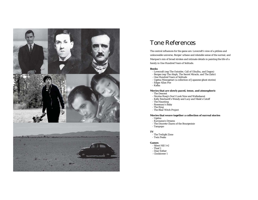

### Tone References

The central influences for the game are: Lovecraft's view of <sup>a</sup> pitiless and unknowable universe, Borges' urbane and relatable sense of the surreal, and Marquez's mix of broad strokes and intimate details in painting the life of <sup>a</sup> family in One Hundred Years of Solitude.

#### **Books**

- Lovecraft (esp The Outsider, Call of Cthulhu, and Dagon)
- Borges (esp The Aleph, The Secret Miracle, and The Zahir)
- One Hundred Years of Solitude
- Ugetsu Monogotari (a collection of Japanese ghost stories)
- Edgar Allan Poe
- Kafka

#### **Movies that are slowly paced, tense, and atmospheric**

- The Descent
- Nicolas Roeg's Don't Look Now and Walkabaout
- Kelly Reichardt's Wendy and Lucy and Meek's Cutoff
- The Haunting
- Rosemary's Baby
- The Ring
- The Blair Witch Project

#### **Movies that weave together <sup>a</sup> collection of surreal stories**

- Ugetsu
- Kurosawa's Dreams
- The Discrete Charm of the Bourgeoisie
- Tampopo

#### **TV**

- The Twilight Zone
- Twin Peaks

#### **Games**

- Silent Hill 1+2
- Thief 1
- Dear Esther
- Clocktower 1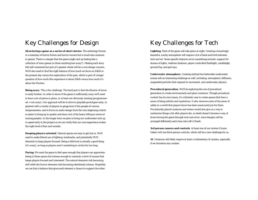## Key Challenges for Design

**Structuring <sup>a</sup> game as <sup>a</sup> series of short stories**. The anthology format is <sup>a</sup> mainstay of horror fiction and horror movies but is much less common in games. There's <sup>a</sup> danger that the game might end up feeling like <sup>a</sup> collection of mini-games (is there anything less scary?). Making each story feel self-contained but part of <sup>a</sup> greater whole will be <sup>a</sup> core design concern. We'll also need to find the right balance of how much we focus on Edith in the present day versus her exploration of the past, which is part of <sup>a</sup> larger question of how much this experience is about Edith versus how much it's about the Finches.

**Being scary**. This <sup>a</sup> fun challenge. The hard part is that the illusion of terror is easily broken. In order to know if the game is sufficiently scary we'll need to have <sup>a</sup> lot of pieces in place, or at least not obviously missing (programmer art <sup>=</sup> not scary). Our approach will be to drive to playable prototypes early, to playtest with <sup>a</sup> variety of players to gauge how it hits people of various temperaments, and to focus on audio design from the very beginning (which is easier to bring up to quality and does <sup>a</sup> lot of the heavy-lifting in terms of scaring people). In the longer term we plan to bring our underwater tech up to speed early in the project so we can verify that our core experience evokes the right level of fear and wonder.

**Keeping players oriented**. Natural spaces are easy to get lost in. We'll need to make liberal use of lighting, landmarks, and potentially HUD elements to keep players focused. Being <sup>a</sup> little lost is actually <sup>a</sup> good thing (it's scary), as long as players aren't wandering in circles for too long.

**Pacing**. We want the game to feel open enough that players can appreciate being in these spaces but intense enough to maintain <sup>a</sup> level of unease that keeps players focused and interested. The natural elements risk becoming dull while the horror elements risk becoming relentlessly intense. Hopefully we can find <sup>a</sup> balance that gives each element <sup>a</sup> chance to support the other.

### Key Challenges for Tech

**Lighting**. Most of the game will take place at night. Creating <sup>a</sup> hauntingly beautiful, murky atmosphere will require <sup>a</sup> lot of back and forth between tech and art. Some specific features we're considering include: support for dozens of lights, realtime shadows, player-controlled flashlight, candlelight, ground fog, and god rays.

**Underwater atmosphere**. Creating stylized but believable underwater scenes will an interesting challenge as well, including: atmospheric diffusion, suspended particles that respond to movement, and underwater physics.

**Procedural generation**. We'll be exploring the use of procedural generation to create environments and place creatures. Though procedural content has its own issues, it's <sup>a</sup> fantastic way to create spaces that have <sup>a</sup> sense of being infinite and mysterious. It also removes some of the sense of safety in <sup>a</sup> world that players know has been manicured just for them. Procedurally placed creatures and events would also give us <sup>a</sup> way to randomize things <sup>a</sup> bit after players die, so death doesn't become <sup>a</sup> way of brute forcing the game through trial-and-error, since dangers will be arranged differently each time (ala Left 4 Dead).

**3rd person camera and controls**. At least one of our stories (Cousin Oskar) will use third-person controls, which will be <sup>a</sup> new challenge for us.

**AI**. Creatures will likely require at least <sup>a</sup> rudimentary AI system, especially if we introduce any combat.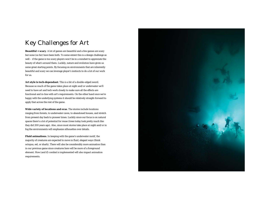## Key Challenges for Art

**Beautiful <sup>+</sup> scary**. A lot of games are beautiful and <sup>a</sup> few games are scary but none (so far) have been both. To some extent this is <sup>a</sup> design challenge as well – if the game is too scary players won't be in <sup>a</sup> mindset to appreciate the beauty of what's around them. Luckily, nature and evolution have given us some great starting points. By focusing on environments that are inherently beautiful and scary we can leverage player's instincts to do <sup>a</sup> lot of our work for us.

**Art style is tech-dependant**. This is <sup>a</sup> bit of <sup>a</sup> double-edged sword. Because so much of the game takes place at night and/or underwater we'll need to have art and tech work closely to make sure all the effects are functional and in-line with art's requirements. On the other hand once we're happy with the underlying systems it should be relatively straight-forward to apply that across the rest of the game.

**Wide variety of locations and eras**. The stories include locations ranging from forests, to underwater caves, to abandoned houses, and stretch from present day back to pioneer times. Luckily since our focus is on natural spaces there's <sup>a</sup> lot of potential for reuse (trees today look pretty much like they did 200 years ago). Also, since most stories take place at night and/or in fog the environments will emphasize silhouettes over details.

**Fluid animations**. In keeping with the game's underwater motif, the majority of creatures are expected to move in fluid, elegant ways (think octopus, eel, or shark). There will also be considerably more animation than in our previous game since creatures here will be more of <sup>a</sup> foreground element. How (and if) combat is implemented will also impact animation requirements.